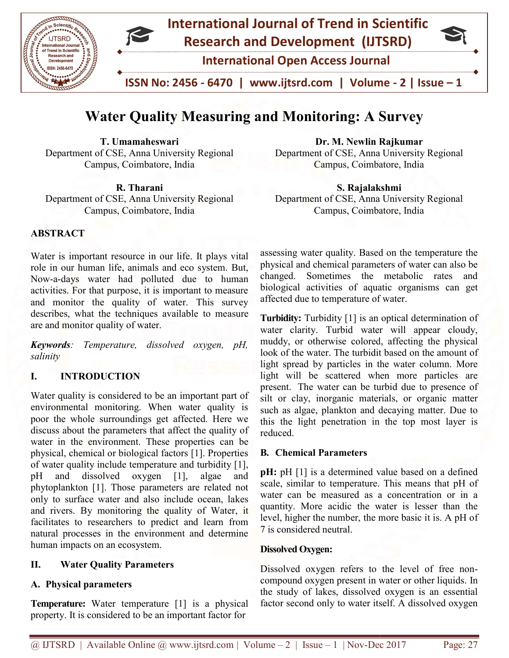

# Water Quality Measuring and Monitoring: A Survey

T. Umamaheswari Department of CSE, Anna University Regional Campus, Coimbatore, India

R. Tharani Department of CSE, Anna University Regional Campus, Coimbatore, India

#### **ABSTRACT**

Water is important resource in our life. It plays vital role in our human life, animals and eco system. But, Now-a-days water had polluted due to human activities. For that purpose, it is important to measure and monitor the quality of water. This survey describes, what the techniques available to measure are and monitor quality of water. a-days water had polluted due to human<br>ties. For that purpose, it is important to measure<br>monitor the quality of water. This survey<br>ibes, what the techniques available to measure

Keywords: Temperature, dissolved oxygen, pH, salinity

#### I. INTRODUCTION

Water quality is considered to be an important part of environmental monitoring. When water quality is poor the whole surroundings get affected. Here we discuss about the parameters that affect the quality of water in the environment. These properties can be physical, chemical or biological factors [1]. Properties of water quality include temperature and turbidity [1], pH and dissolved oxygen [1], algae and phytoplankton [1]. Those parameters are related not only to surface water and also include ocean, la and rivers. By monitoring the quality of Water, it facilitates to researchers to predict and learn from natural processes in the environment and determine human impacts on an ecosystem. Water quality is considered to be an important part of environmental monitoring. When water quality is poor the whole surroundings get affected. Here we discuss about the parameters that affect the quality of water in the physical, chemical or biological factors [1]. Properties<br>of water quality include temperature and turbidity [1],<br>pH and dissolved oxygen [1], algae and<br>phytoplankton [1]. Those parameters are related not<br>only to surface wa is important resource in our life. It plays viral assessing voter quality. Based on the temperature the based on system, But, changed. Sometimes the metabolic rates and show the many life, animals and co system, But, schor

#### II. Water Quality Parameters

#### A. Physical parameters

Temperature: Water temperature [1] is a physical property. It is considered to be an important factor for

The Equipment of CSE, Anna University<br>
India<br>
India<br>
India<br>
India<br>
India<br>
India<br>
India<br>
Department of CSE, Anna University<br>
Regional<br>
Department of CSE, Anna University<br>
India<br>
Campus, Coimbatore, India Department of CSE, Anna University Regional Campus, Coimbatore, India

S. Rajalakshmi

Department of CSE, Anna University Regional Campus, Coimbatore, India

physical and chemical parameters of water can also be changed. Sometimes the metabolic rates and biological activities of aquatic organisms can get affected due to temperature of water. tment of CSE, Anna University Regional<br>
S. Rajalakshmi<br>
tment of CSE, Anna University Regional<br>
Campus, Coimbatore, India<br>
water quality. Based on the temperature the<br>
nd chemical parameters of water can also be<br>
Sometimes

Turbidity: Turbidity [1] is an optical determination of water clarity. Turbid water will appear cloudy, muddy, or otherwise colored, affecting the physical look of the water. The turbidit based on the amount of light spread by particles in the water column. More light will be scattered when more particles are present. The water can be turbid due to presence of silt or clay, inorganic materials, or organic matter such as algae, plankton and decaying matter. Due to this the light penetration in the top most layer is reduced. pread by particles in the water column. More<br>will be scattered when more particles are<br>t. The water can be turbid due to presence of<br>clay, inorganic materials, or organic matter<br>is algae, plankton and decaying matter. Due

#### B. Chemical Parameters

**pH:** pH [1] is a determined value based on a defined scale, similar to temperature. This means that pH of water can be measured as a concentration or in a quantity. More acidic the water is lesser than the level, higher the number, the more basic it is. A pH o 7 is considered neutral.

#### Dissolved Oxygen:

Dissolved oxygen refers to the level of free noncompound oxygen present in water or other liquids. In the study of lakes, dissolved oxygen is an essential the study of lakes, dissolved oxygen is an essential factor second only to water itself. A dissolved oxygen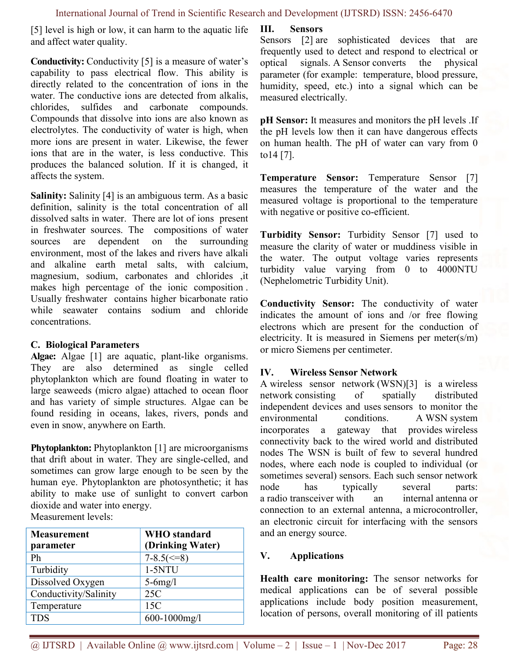[5] level is high or low, it can harm to the aquatic life and affect water quality.

Conductivity: Conductivity [5] is a measure of water's capability to pass electrical flow. This ability is directly related to the concentration of ions in the water. The conductive ions are detected from alkalis, chlorides, sulfides and carbonate compounds. Compounds that dissolve into ions are also known as electrolytes. The conductivity of water is high, when more ions are present in water. Likewise, the fewer ions that are in the water, is less conductive. This produces the balanced solution. If it is changed, it affects the system.

Salinity: Salinity [4] is an ambiguous term. As a basic definition, salinity is the total concentration of all dissolved salts in water. There are lot of ions present in freshwater sources. The compositions of water sources are dependent on the surrounding environment, most of the lakes and rivers have alkali and alkaline earth metal salts, with calcium, magnesium, sodium, carbonates and chlorides ,it makes high percentage of the ionic composition . Usually freshwater contains higher bicarbonate ratio while seawater contains sodium and chloride concentrations.

## C. Biological Parameters

Algae: Algae [1] are aquatic, plant-like organisms. They are also determined as single celled phytoplankton which are found floating in water to large seaweeds (micro algae) attached to ocean floor and has variety of simple structures. Algae can be found residing in oceans, lakes, rivers, ponds and even in snow, anywhere on Earth.

Phytoplankton: Phytoplankton [1] are microorganisms that drift about in water. They are single-celled, and sometimes can grow large enough to be seen by the human eye. Phytoplankton are photosynthetic; it has ability to make use of sunlight to convert carbon dioxide and water into energy. Measurement levels:

| <b>Measurement</b>    | <b>WHO</b> standard   |
|-----------------------|-----------------------|
| parameter             | (Drinking Water)      |
| Ph                    | $7 - 8.5 \leq \leq 8$ |
| Turbidity             | $1-5NTU$              |
| Dissolved Oxygen      | $5-6$ mg/l            |
| Conductivity/Salinity | 25C                   |
| Temperature           | 15C                   |
| <b>TDS</b>            | 600-1000mg/l          |

## III. Sensors

Sensors [2] are sophisticated devices that are frequently used to detect and respond to electrical or optical signals. A Sensor converts the physical parameter (for example: temperature, blood pressure, humidity, speed, etc.) into a signal which can be measured electrically.

pH Sensor: It measures and monitors the pH levels .If the pH levels low then it can have dangerous effects on human health. The pH of water can vary from 0 to14 [7].

Temperature Sensor: Temperature Sensor [7] measures the temperature of the water and the measured voltage is proportional to the temperature with negative or positive co-efficient.

Turbidity Sensor: Turbidity Sensor [7] used to measure the clarity of water or muddiness visible in the water. The output voltage varies represents turbidity value varying from 0 to 4000NTU (Nephelometric Turbidity Unit).

Conductivity Sensor: The conductivity of water indicates the amount of ions and /or free flowing electrons which are present for the conduction of electricity. It is measured in Siemens per meter(s/m) or micro Siemens per centimeter.

# IV. Wireless Sensor Network

A wireless sensor network (WSN)[3] is a wireless network consisting of spatially distributed independent devices and uses sensors to monitor the environmental conditions. A WSN system incorporates a gateway that provides wireless connectivity back to the wired world and distributed nodes The WSN is built of few to several hundred nodes, where each node is coupled to individual (or sometimes several) sensors. Each such sensor network node has typically several parts: a radio transceiver with an internal antenna or connection to an external antenna, a microcontroller, an electronic circuit for interfacing with the sensors and an energy source.

## V. Applications

Health care monitoring: The sensor networks for medical applications can be of several possible applications include body position measurement, location of persons, overall monitoring of ill patients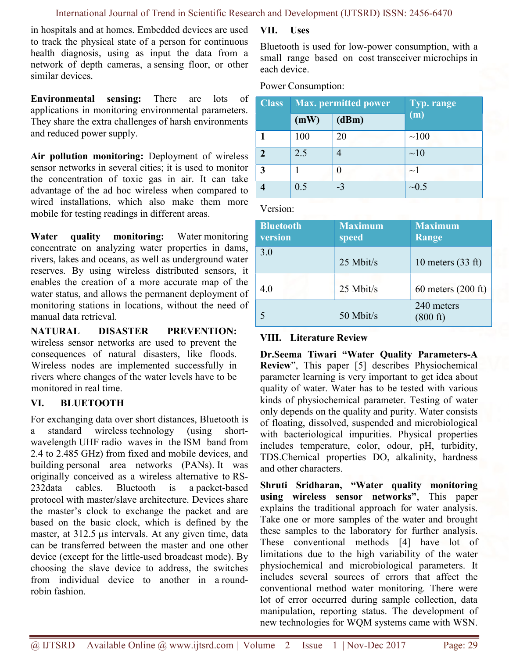in hospitals and at homes. Embedded devices are used to track the physical state of a person for continuous health diagnosis, using as input the data from a network of depth cameras, a sensing floor, or other similar devices.

Environmental sensing: There are lots of applications in monitoring environmental parameters. They share the extra challenges of harsh environments and reduced power supply.

Air pollution monitoring: Deployment of wireless sensor networks in several cities; it is used to monitor the concentration of toxic gas in air. It can take advantage of the ad hoc wireless when compared to wired installations, which also make them more mobile for testing readings in different areas.

Water quality monitoring: Water monitoring concentrate on analyzing water properties in dams, rivers, lakes and oceans, as well as underground water reserves. By using wireless distributed sensors, it enables the creation of a more accurate map of the water status, and allows the permanent deployment of monitoring stations in locations, without the need of manual data retrieval.

NATURAL DISASTER PREVENTION: wireless sensor networks are used to prevent the consequences of natural disasters, like floods. Wireless nodes are implemented successfully in rivers where changes of the water levels have to be monitored in real time.

## VI. BLUETOOTH

For exchanging data over short distances, Bluetooth is a standard wireless technology (using shortwavelength UHF radio waves in the ISM band from 2.4 to 2.485 GHz) from fixed and mobile devices, and building personal area networks (PANs). It was originally conceived as a wireless alternative to RS-232data cables. Bluetooth is a packet-based protocol with master/slave architecture. Devices share the master's clock to exchange the packet and are based on the basic clock, which is defined by the master, at 312.5 µs intervals. At any given time, data can be transferred between the master and one other device (except for the little-used broadcast mode). By choosing the slave device to address, the switches from individual device to another in a roundrobin fashion.

# VII. Uses

Bluetooth is used for low-power consumption, with a small range based on cost transceiver microchips in each device.

Power Consumption:

| <b>Class</b> | <b>Max.</b> permitted power |       | Typ. range |
|--------------|-----------------------------|-------|------------|
|              | (mW)                        | (dBm) | (m)        |
|              | 100                         | 20    | $\sim 100$ |
|              | 2.5                         |       | ~10        |
|              |                             |       | $\sim$ 1   |
|              | 0.5                         | $-3$  | $\sim 0.5$ |

Version:

| <b>Bluetooth</b><br>version | <b>Maximum</b><br>speed | <b>Maximum</b><br>Range     |
|-----------------------------|-------------------------|-----------------------------|
| 3.0                         | 25 Mbit/s               | 10 meters $(33 \text{ ft})$ |
| 4.0                         | 25 Mbit/s               | $60$ meters $(200$ ft)      |
|                             | 50 Mbit/s               | 240 meters<br>(800 ft)      |

## VIII. Literature Review

Dr.Seema Tiwari "Water Quality Parameters-A Review", This paper [5] describes Physiochemical parameter learning is very important to get idea about quality of water. Water has to be tested with various kinds of physiochemical parameter. Testing of water only depends on the quality and purity. Water consists of floating, dissolved, suspended and microbiological with bacteriological impurities. Physical properties includes temperature, color, odour, pH, turbidity, TDS.Chemical properties DO, alkalinity, hardness and other characters.

Shruti Sridharan, "Water quality monitoring using wireless sensor networks", This paper explains the traditional approach for water analysis. Take one or more samples of the water and brought these samples to the laboratory for further analysis. These conventional methods [4] have lot of limitations due to the high variability of the water physiochemical and microbiological parameters. It includes several sources of errors that affect the conventional method water monitoring. There were lot of error occurred during sample collection, data manipulation, reporting status. The development of new technologies for WQM systems came with WSN.